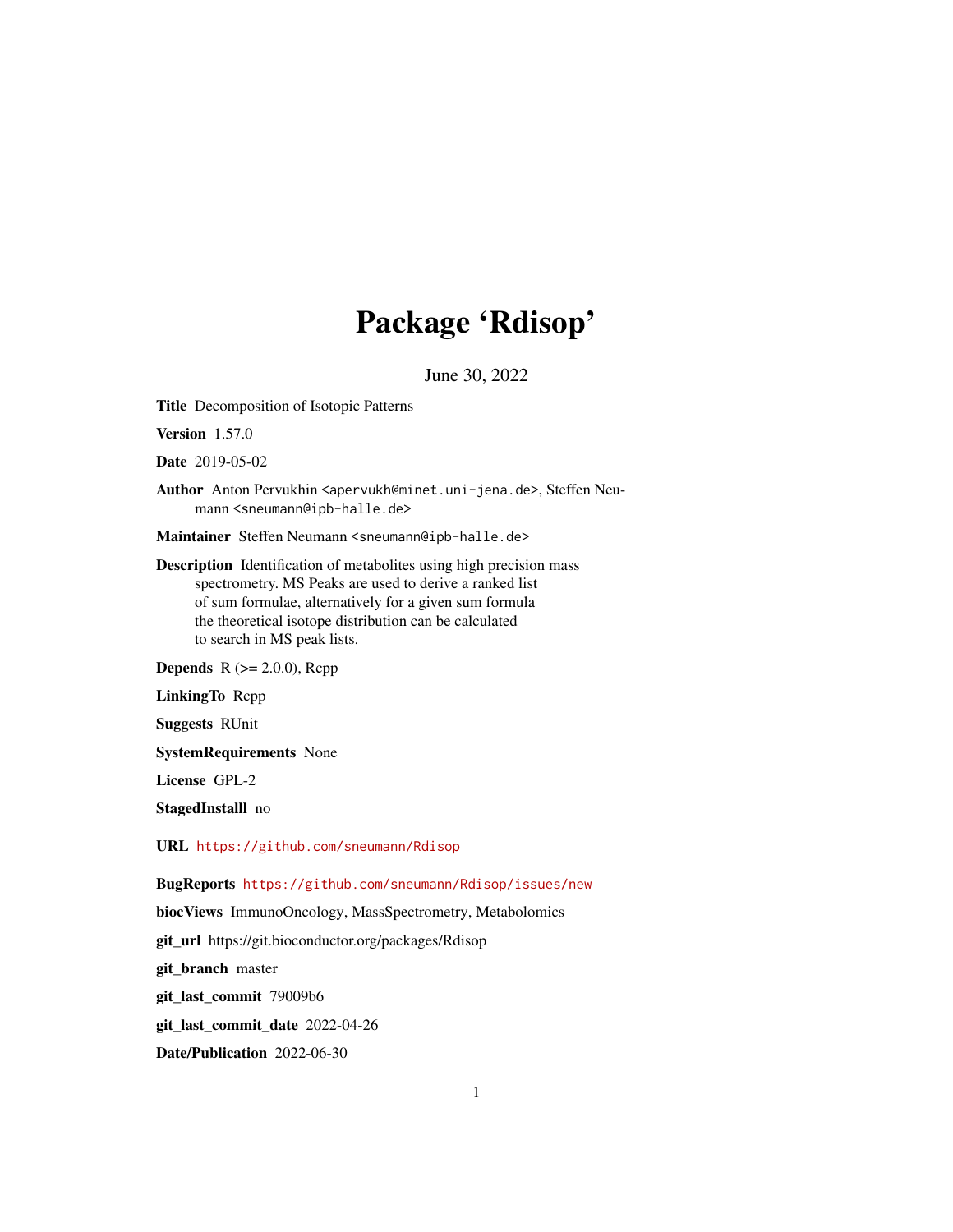## Package 'Rdisop'

June 30, 2022

Title Decomposition of Isotopic Patterns

Version 1.57.0

Date 2019-05-02

Author Anton Pervukhin <apervukh@minet.uni-jena.de>, Steffen Neumann <sneumann@ipb-halle.de>

Maintainer Steffen Neumann <sneumann@ipb-halle.de>

Description Identification of metabolites using high precision mass spectrometry. MS Peaks are used to derive a ranked list of sum formulae, alternatively for a given sum formula the theoretical isotope distribution can be calculated to search in MS peak lists.

**Depends**  $R$  ( $>= 2.0.0$ ), Rcpp

LinkingTo Rcpp

Suggests RUnit

SystemRequirements None

License GPL-2

StagedInstalll no

URL <https://github.com/sneumann/Rdisop>

BugReports <https://github.com/sneumann/Rdisop/issues/new>

biocViews ImmunoOncology, MassSpectrometry, Metabolomics

git\_url https://git.bioconductor.org/packages/Rdisop

git\_branch master

git\_last\_commit 79009b6

git\_last\_commit\_date 2022-04-26

Date/Publication 2022-06-30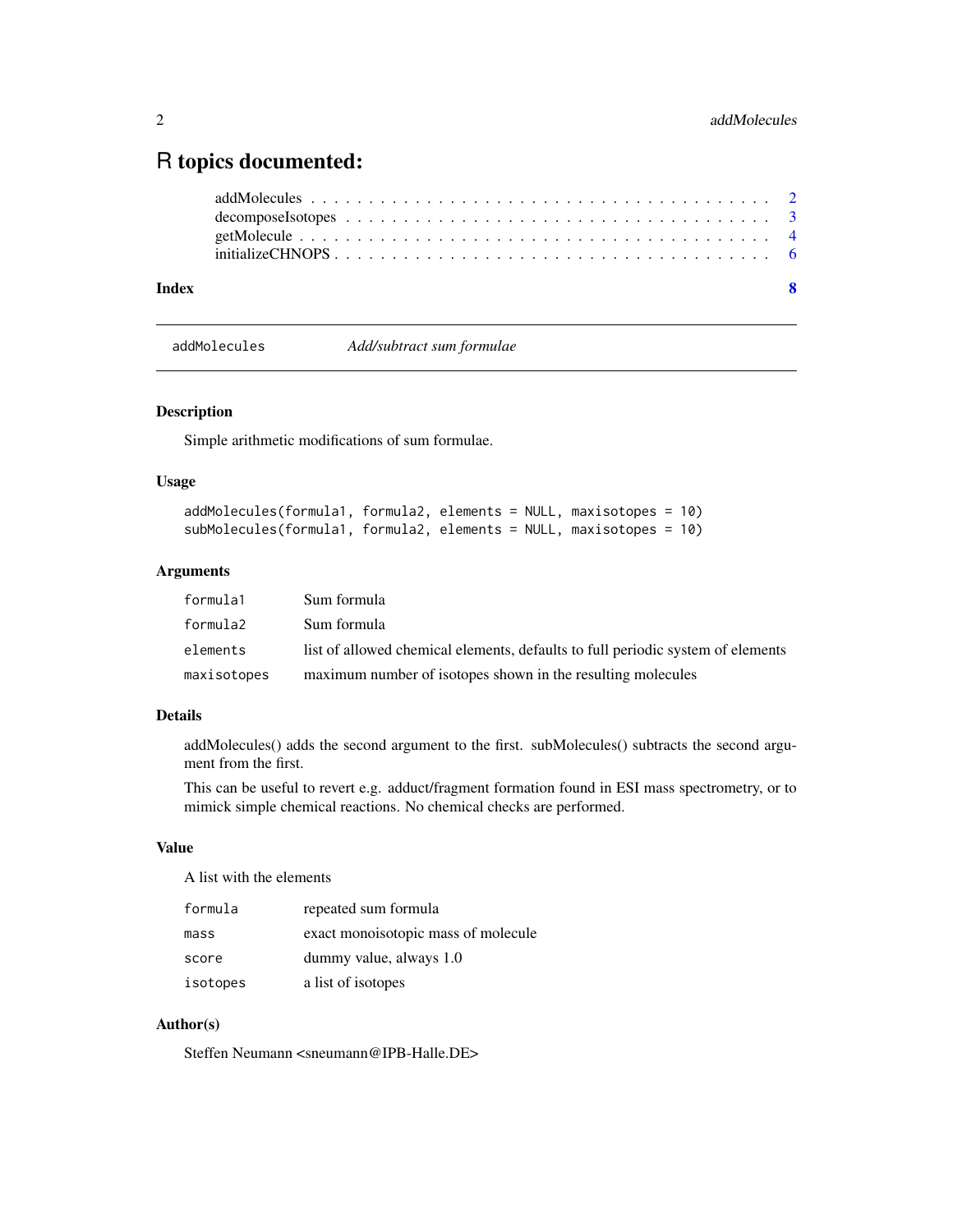### <span id="page-1-0"></span>R topics documented:

| Index |  |  |  |  |  |  |  |  |  |  |  |  |  |  |  |  | $\overline{\mathbf{S}}$ |
|-------|--|--|--|--|--|--|--|--|--|--|--|--|--|--|--|--|-------------------------|
|       |  |  |  |  |  |  |  |  |  |  |  |  |  |  |  |  |                         |
|       |  |  |  |  |  |  |  |  |  |  |  |  |  |  |  |  |                         |
|       |  |  |  |  |  |  |  |  |  |  |  |  |  |  |  |  |                         |
|       |  |  |  |  |  |  |  |  |  |  |  |  |  |  |  |  |                         |

addMolecules *Add/subtract sum formulae*

#### Description

Simple arithmetic modifications of sum formulae.

#### Usage

| addMolecules(formula1, formula2, elements = NULL, maxisotopes = 10) |  |  |  |
|---------------------------------------------------------------------|--|--|--|
| subMolecules(formula1, formula2, elements = NULL, maxisotopes = 10) |  |  |  |

#### Arguments

| formula1    | Sum formula                                                                     |
|-------------|---------------------------------------------------------------------------------|
| formula2    | Sum formula                                                                     |
| elements    | list of allowed chemical elements, defaults to full periodic system of elements |
| maxisotopes | maximum number of isotopes shown in the resulting molecules                     |

#### Details

addMolecules() adds the second argument to the first. subMolecules() subtracts the second argument from the first.

This can be useful to revert e.g. adduct/fragment formation found in ESI mass spectrometry, or to mimick simple chemical reactions. No chemical checks are performed.

#### Value

A list with the elements

| formula  | repeated sum formula                |
|----------|-------------------------------------|
| mass     | exact monoisotopic mass of molecule |
| score    | dummy value, always 1.0             |
| isotopes | a list of isotopes                  |

#### Author(s)

Steffen Neumann <sneumann@IPB-Halle.DE>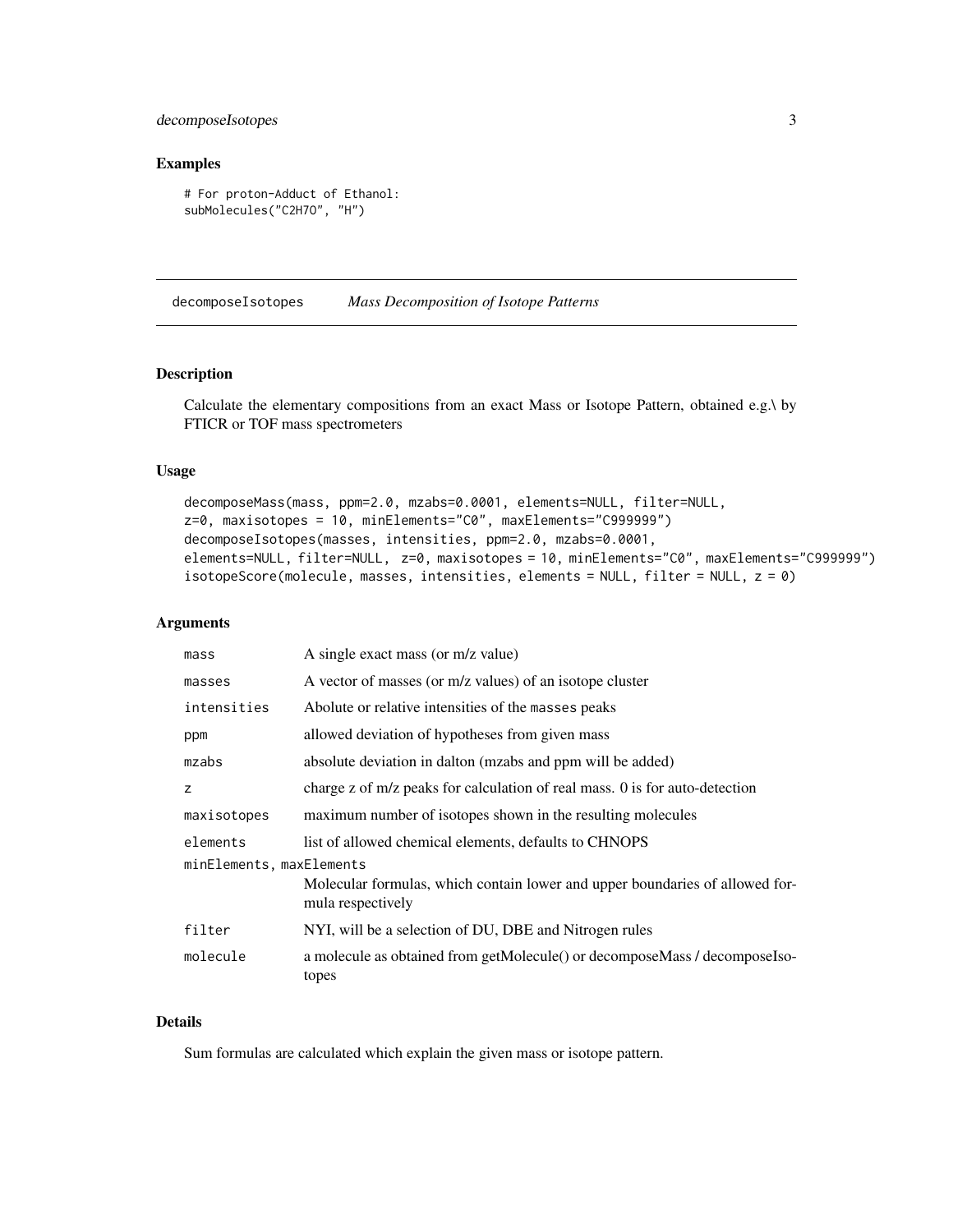#### <span id="page-2-0"></span>decomposeIsotopes 3

#### Examples

```
# For proton-Adduct of Ethanol:
subMolecules("C2H7O", "H")
```
decomposeIsotopes *Mass Decomposition of Isotope Patterns*

#### <span id="page-2-1"></span>Description

Calculate the elementary compositions from an exact Mass or Isotope Pattern, obtained e.g.\ by FTICR or TOF mass spectrometers

#### Usage

```
decomposeMass(mass, ppm=2.0, mzabs=0.0001, elements=NULL, filter=NULL,
z=0, maxisotopes = 10, minElements="C0", maxElements="C999999")
decomposeIsotopes(masses, intensities, ppm=2.0, mzabs=0.0001,
elements=NULL, filter=NULL, z=0, maxisotopes = 10, minElements="C0", maxElements="C999999")
isotopeScore(molecule, masses, intensities, elements = NULL, filter = NULL, z = 0)
```
#### **Arguments**

| mass                     | A single exact mass (or m/z value)                                                                |
|--------------------------|---------------------------------------------------------------------------------------------------|
| masses                   | A vector of masses (or m/z values) of an isotope cluster                                          |
| intensities              | Abolute or relative intensities of the masses peaks                                               |
| ppm                      | allowed deviation of hypotheses from given mass                                                   |
| mzabs                    | absolute deviation in dalton (mzabs and ppm will be added)                                        |
| z                        | charge z of m/z peaks for calculation of real mass. 0 is for auto-detection                       |
| maxisotopes              | maximum number of isotopes shown in the resulting molecules                                       |
| elements                 | list of allowed chemical elements, defaults to CHNOPS                                             |
| minElements, maxElements |                                                                                                   |
|                          | Molecular formulas, which contain lower and upper boundaries of allowed for-<br>mula respectively |
| filter                   | NYI, will be a selection of DU, DBE and Nitrogen rules                                            |
| molecule                 | a molecule as obtained from getMolecule() or decomposeMass / decomposeIso-<br>topes               |

#### Details

Sum formulas are calculated which explain the given mass or isotope pattern.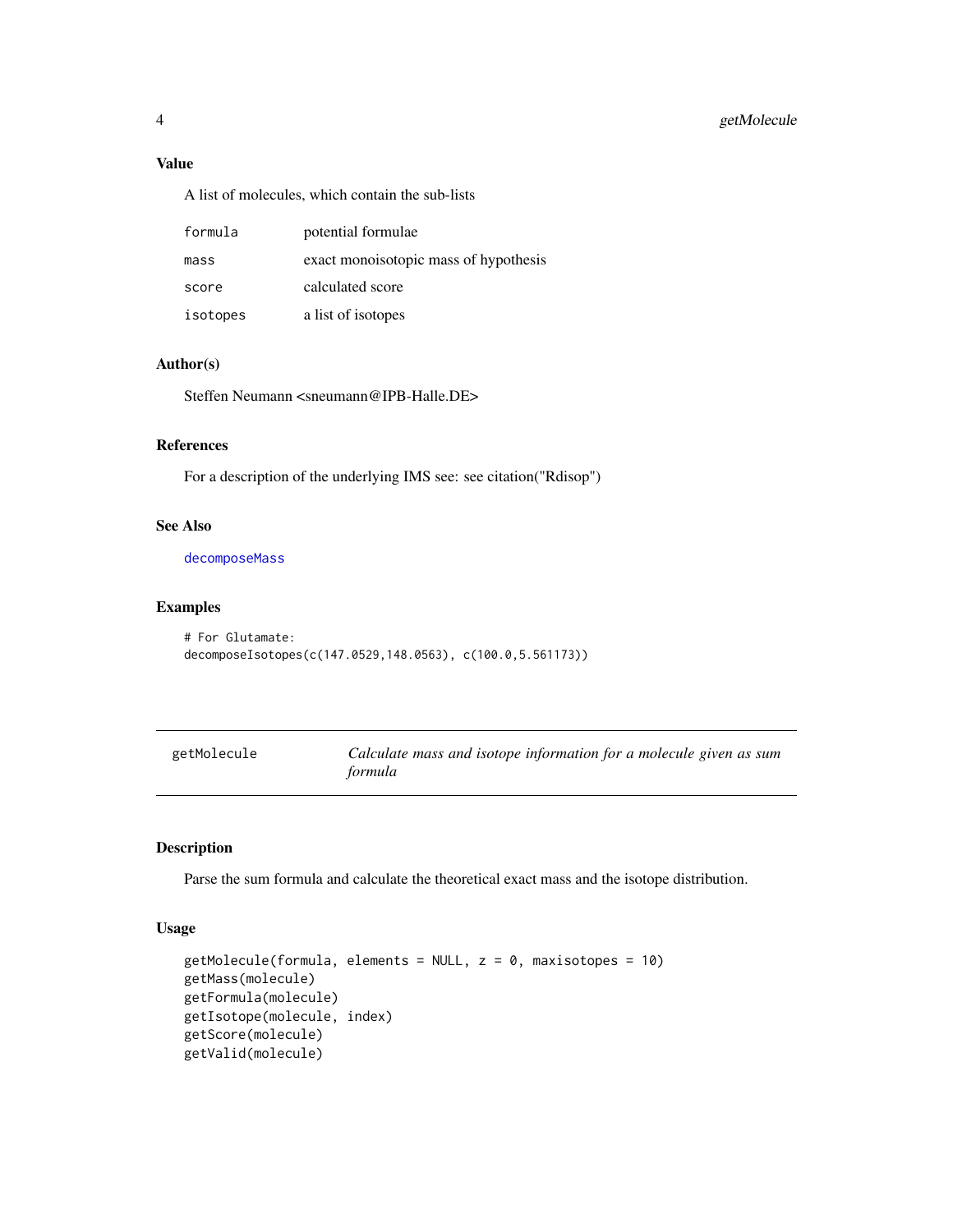#### <span id="page-3-0"></span>Value

A list of molecules, which contain the sub-lists

| formula  | potential formulae                    |
|----------|---------------------------------------|
| mass     | exact monoisotopic mass of hypothesis |
| score    | calculated score                      |
| isotopes | a list of isotopes                    |

#### Author(s)

Steffen Neumann <sneumann@IPB-Halle.DE>

#### References

For a description of the underlying IMS see: see citation("Rdisop")

#### See Also

[decomposeMass](#page-2-1)

#### Examples

```
# For Glutamate:
decomposeIsotopes(c(147.0529,148.0563), c(100.0,5.561173))
```
<span id="page-3-1"></span>

| getMolecule | Calculate mass and isotope information for a molecule given as sum |
|-------------|--------------------------------------------------------------------|
|             | formula                                                            |

#### Description

Parse the sum formula and calculate the theoretical exact mass and the isotope distribution.

#### Usage

```
getMolecule(formula, elements = NULL, z = 0, maxisotopes = 10)
getMass(molecule)
getFormula(molecule)
getIsotope(molecule, index)
getScore(molecule)
getValid(molecule)
```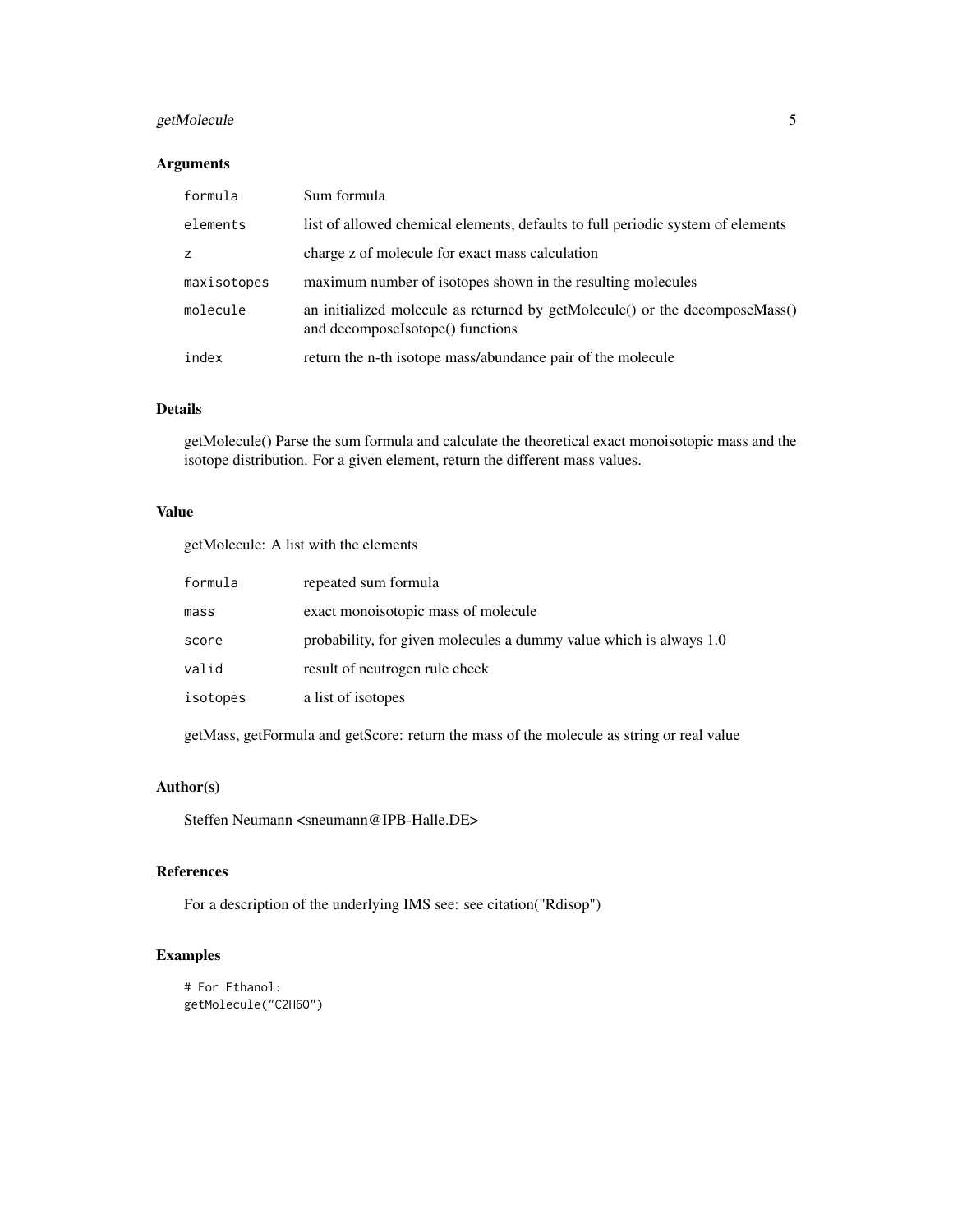#### getMolecule 5

#### Arguments

| formula     | Sum formula                                                                                                     |
|-------------|-----------------------------------------------------------------------------------------------------------------|
| elements    | list of allowed chemical elements, defaults to full periodic system of elements                                 |
| z           | charge z of molecule for exact mass calculation                                                                 |
| maxisotopes | maximum number of isotopes shown in the resulting molecules                                                     |
| molecule    | an initialized molecule as returned by getMolecule() or the decomposeMass()<br>and decomposeIsotope() functions |
| index       | return the n-th isotope mass/abundance pair of the molecule                                                     |

#### Details

getMolecule() Parse the sum formula and calculate the theoretical exact monoisotopic mass and the isotope distribution. For a given element, return the different mass values.

#### Value

getMolecule: A list with the elements

| formula  | repeated sum formula                                               |
|----------|--------------------------------------------------------------------|
| mass     | exact monoisotopic mass of molecule                                |
| score    | probability, for given molecules a dummy value which is always 1.0 |
| valid    | result of neutrogen rule check                                     |
| isotopes | a list of isotopes                                                 |

getMass, getFormula and getScore: return the mass of the molecule as string or real value

#### Author(s)

Steffen Neumann <sneumann@IPB-Halle.DE>

#### References

For a description of the underlying IMS see: see citation("Rdisop")

#### Examples

```
# For Ethanol:
getMolecule("C2H6O")
```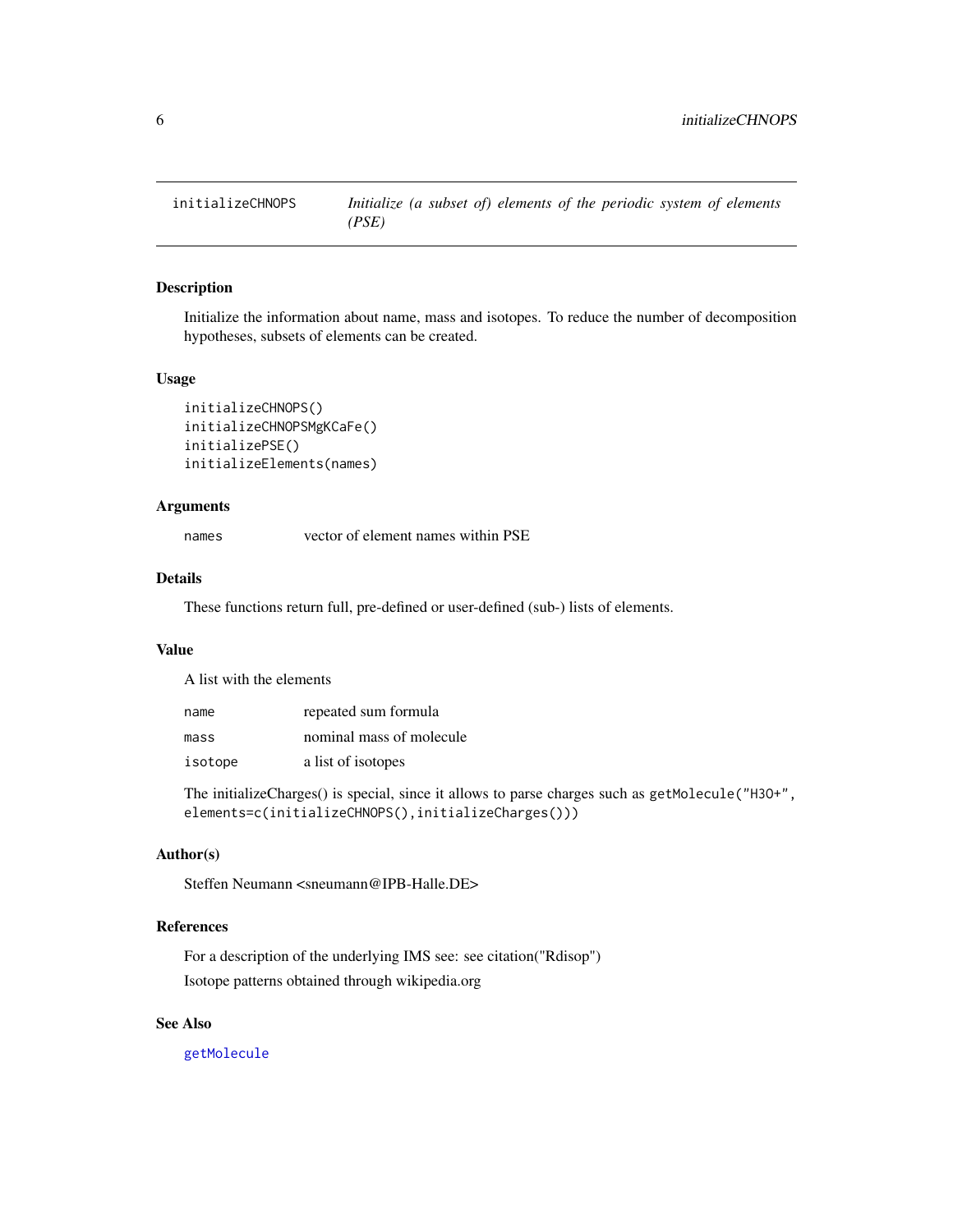<span id="page-5-0"></span>

#### Description

Initialize the information about name, mass and isotopes. To reduce the number of decomposition hypotheses, subsets of elements can be created.

#### Usage

```
initializeCHNOPS()
initializeCHNOPSMgKCaFe()
initializePSE()
initializeElements(names)
```
#### Arguments

names vector of element names within PSE

#### Details

These functions return full, pre-defined or user-defined (sub-) lists of elements.

#### Value

A list with the elements

| name    | repeated sum formula     |
|---------|--------------------------|
| mass    | nominal mass of molecule |
| isotope | a list of isotopes       |

The initializeCharges() is special, since it allows to parse charges such as getMolecule("H3O+", elements=c(initializeCHNOPS(),initializeCharges()))

#### Author(s)

Steffen Neumann <sneumann@IPB-Halle.DE>

#### References

For a description of the underlying IMS see: see citation("Rdisop") Isotope patterns obtained through wikipedia.org

#### See Also

[getMolecule](#page-3-1)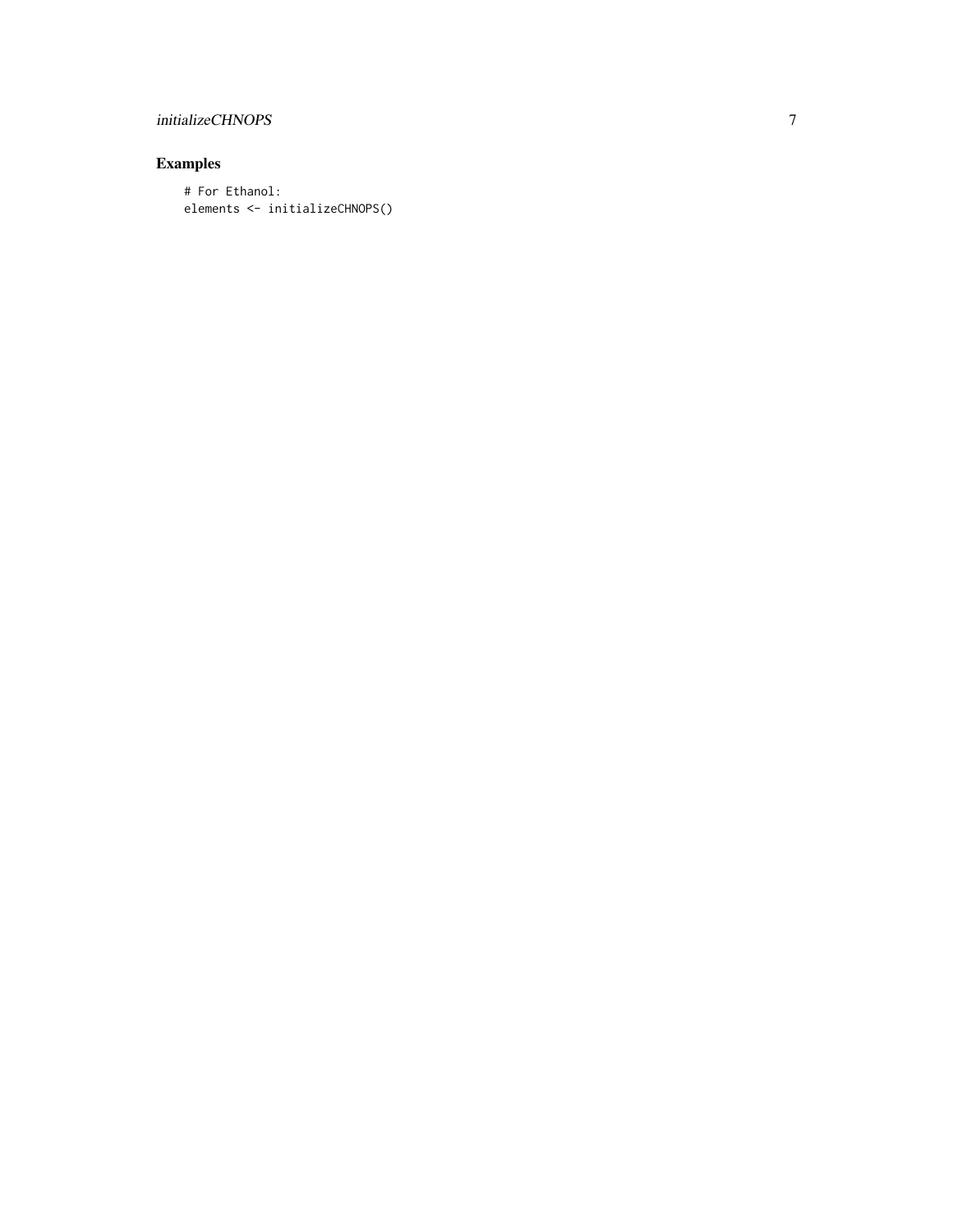#### initializeCHNOPS

#### Examples

# For Ethanol: elements <- initializeCHNOPS()